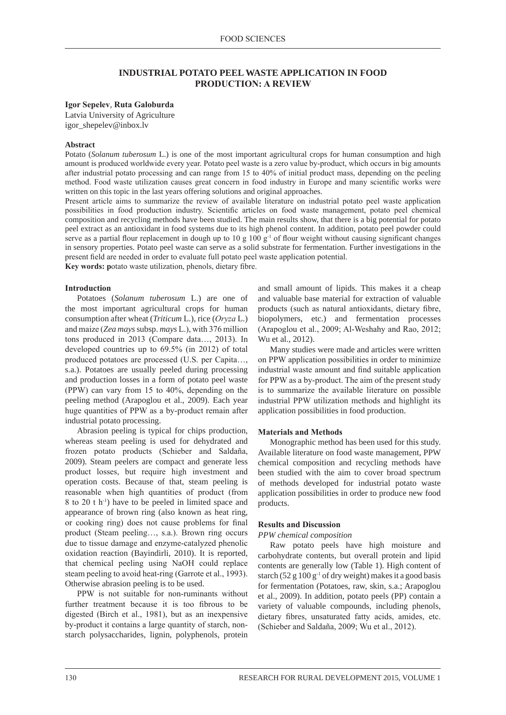## **INDUSTRIAL POTATO PEEL wASTE APPLICATION IN FOOD PRODUCTION: A REvIEW**

### **Igor Sepelev**, **Ruta Galoburda**

Latvia University of Agriculture igor\_shepelev@inbox.lv

#### **Abstract**

Potato (*Solanum tuberosum* L.) is one of the most important agricultural crops for human consumption and high amount is produced worldwide every year. Potato peel waste is a zero value by-product, which occurs in big amounts after industrial potato processing and can range from 15 to 40% of initial product mass, depending on the peeling method. Food waste utilization causes great concern in food industry in Europe and many scientific works were written on this topic in the last years offering solutions and original approaches.

Present article aims to summarize the review of available literature on industrial potato peel waste application possibilities in food production industry. Scientific articles on food waste management, potato peel chemical composition and recycling methods have been studied. The main results show, that there is a big potential for potato peel extract as an antioxidant in food systems due to its high phenol content. In addition, potato peel powder could serve as a partial flour replacement in dough up to 10 g 100  $g^{-1}$  of flour weight without causing significant changes in sensory properties. Potato peel waste can serve as a solid substrate for fermentation. Further investigations in the present field are needed in order to evaluate full potato peel waste application potential. **Key words: p**otato waste utilization, phenols, dietary fibre.

#### **Introduction**

Potatoes (*Solanum tuberosum* L.) are one of the most important agricultural crops for human consumption after wheat (*Triticum* L.), rice (*oryza* L.) and maize (*Zea mays* subsp. *mays* L.), with 376 million tons produced in 2013 (Compare data…, 2013). In developed countries up to 69.5% (in 2012) of total produced potatoes are processed (U.S. per Capita…, s.a.). Potatoes are usually peeled during processing and production losses in a form of potato peel waste (PPW) can vary from 15 to 40%, depending on the peeling method (Arapoglou et al., 2009). Each year huge quantities of PPW as a by-product remain after industrial potato processing.

Abrasion peeling is typical for chips production, whereas steam peeling is used for dehydrated and frozen potato products (Schieber and Saldaña, 2009). Steam peelers are compact and generate less product losses, but require high investment and operation costs. Because of that, steam peeling is reasonable when high quantities of product (from 8 to 20 t h-1) have to be peeled in limited space and appearance of brown ring (also known as heat ring, or cooking ring) does not cause problems for final product (Steam peeling…, s.a.). Brown ring occurs due to tissue damage and enzyme-catalyzed phenolic oxidation reaction (Bayindirli, 2010). It is reported, that chemical peeling using NaOH could replace steam peeling to avoid heat-ring (Garrote et al., 1993). Otherwise abrasion peeling is to be used.

PPW is not suitable for non-ruminants without further treatment because it is too fibrous to be digested (Birch et al., 1981), but as an inexpensive by-product it contains a large quantity of starch, nonstarch polysaccharides, lignin, polyphenols, protein

and small amount of lipids. This makes it a cheap and valuable base material for extraction of valuable products (such as natural antioxidants, dietary fibre, biopolymers, etc.) and fermentation processes (Arapoglou et al., 2009; Al-Weshahy and Rao, 2012; Wu et al., 2012).

Many studies were made and articles were written on PPW application possibilities in order to minimize industrial waste amount and find suitable application for PPW as a by-product. The aim of the present study is to summarize the available literature on possible industrial PPW utilization methods and highlight its application possibilities in food production.

### **Materials and Methods**

Monographic method has been used for this study. Available literature on food waste management, PPW chemical composition and recycling methods have been studied with the aim to cover broad spectrum of methods developed for industrial potato waste application possibilities in order to produce new food products.

#### **Results and Discussion**

### *PPW chemical composition*

Raw potato peels have high moisture and carbohydrate contents, but overall protein and lipid contents are generally low (Table 1). High content of starch  $(52 g 100 g<sup>-1</sup>$  of dry weight) makes it a good basis for fermentation (Potatoes, raw, skin, s.a.; Arapoglou et al., 2009). In addition, potato peels (PP) contain a variety of valuable compounds, including phenols, dietary fibres, unsaturated fatty acids, amides, etc. (Schieber and Saldaña, 2009; Wu et al., 2012).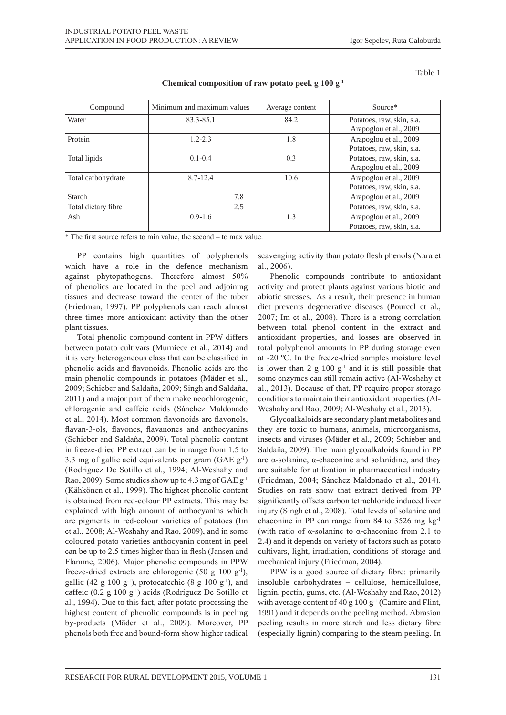Table 1

| Compound            | Minimum and maximum values | Average content | Source*                                             |
|---------------------|----------------------------|-----------------|-----------------------------------------------------|
| Water               | 83.3-85.1                  | 84.2            | Potatoes, raw, skin, s.a.<br>Arapoglou et al., 2009 |
| Protein             | $1.2 - 2.3$                | 1.8             | Arapoglou et al., 2009<br>Potatoes, raw, skin, s.a. |
| Total lipids        | $0.1 - 0.4$                | 0.3             | Potatoes, raw, skin, s.a.<br>Arapoglou et al., 2009 |
| Total carbohydrate  | $8.7 - 12.4$               | 10.6            | Arapoglou et al., 2009<br>Potatoes, raw, skin, s.a. |
| Starch              | 7.8                        |                 | Arapoglou et al., 2009                              |
| Total dietary fibre | 2.5                        |                 | Potatoes, raw, skin, s.a.                           |
| Ash                 | $0.9 - 1.6$                | 1.3             | Arapoglou et al., 2009<br>Potatoes, raw, skin, s.a. |

**Chemical composition of raw potato peel, g 100 g-1**

\* The first source refers to min value, the second – to max value.

PP contains high quantities of polyphenols which have a role in the defence mechanism against phytopathogens. Therefore almost 50% of phenolics are located in the peel and adjoining tissues and decrease toward the center of the tuber (Friedman, 1997). PP polyphenols can reach almost three times more antioxidant activity than the other plant tissues.

Total phenolic compound content in PPW differs between potato cultivars (Murniece et al., 2014) and it is very heterogeneous class that can be classified in phenolic acids and flavonoids. Phenolic acids are the main phenolic compounds in potatoes (Mäder et al., 2009; Schieber and Saldaña, 2009; Singh and Saldaña, 2011) and a major part of them make neochlorogenic, chlorogenic and caffeic acids (Sánchez Maldonado et al., 2014). Most common flavonoids are flavonols, flavan-3-ols, flavones, flavanones and anthocyanins (Schieber and Saldaña, 2009). Total phenolic content in freeze-dried PP extract can be in range from 1.5 to 3.3 mg of gallic acid equivalents per gram  $(GAE g<sup>-1</sup>)$ (Rodriguez De Sotillo et al., 1994; Al-Weshahy and Rao, 2009). Some studies show up to 4.3 mg of  $GAEg^{-1}$ (Kähkönen et al., 1999). The highest phenolic content is obtained from red-colour PP extracts. This may be explained with high amount of anthocyanins which are pigments in red-colour varieties of potatoes (Im et al., 2008; Al-Weshahy and Rao, 2009), and in some coloured potato varieties anthocyanin content in peel can be up to 2.5 times higher than in flesh (Jansen and Flamme, 2006). Major phenolic compounds in PPW freeze-dried extracts are chlorogenic  $(50 \text{ g } 100 \text{ g}^{-1})$ , gallic (42 g 100 g<sup>-1</sup>), protocatechic (8 g 100 g<sup>-1</sup>), and caffeic  $(0.2 \text{ g } 100 \text{ g}^{-1})$  acids (Rodriguez De Sotillo et al., 1994). Due to this fact, after potato processing the highest content of phenolic compounds is in peeling by-products (Mäder et al., 2009). Moreover, PP phenols both free and bound-form show higher radical

scavenging activity than potato flesh phenols (Nara et al., 2006).

Phenolic compounds contribute to antioxidant activity and protect plants against various biotic and abiotic stresses. As a result, their presence in human diet prevents degenerative diseases (Pourcel et al., 2007; Im et al., 2008). There is a strong correlation between total phenol content in the extract and antioxidant properties, and losses are observed in total polyphenol amounts in PP during storage even at -20 ºC. In the freeze-dried samples moisture level is lower than 2  $g$  100  $g^{-1}$  and it is still possible that some enzymes can still remain active (Al-Weshahy et al., 2013). Because of that, PP require proper storage conditions to maintain their antioxidant properties (Al-Weshahy and Rao, 2009; Al-Weshahy et al., 2013).

Glycoalkaloids are secondary plant metabolites and they are toxic to humans, animals, microorganisms, insects and viruses (Mäder et al., 2009; Schieber and Saldaña, 2009). The main glycoalkaloids found in PP are α-solanine, α-chaconine and solanidine, and they are suitable for utilization in pharmaceutical industry (Friedman, 2004; Sánchez Maldonado et al., 2014). Studies on rats show that extract derived from PP significantly offsets carbon tetrachloride induced liver injury (Singh et al., 2008). Total levels of solanine and chaconine in PP can range from 84 to 3526 mg kg-1 (with ratio of  $\alpha$ -solanine to  $\alpha$ -chaconine from 2.1 to 2.4) and it depends on variety of factors such as potato cultivars, light, irradiation, conditions of storage and mechanical injury (Friedman, 2004).

PPW is a good source of dietary fibre: primarily insoluble carbohydrates – cellulose, hemicellulose, lignin, pectin, gums, etc. (Al-Weshahy and Rao, 2012) with average content of 40 g 100  $g^{-1}$  (Camire and Flint, 1991) and it depends on the peeling method. Abrasion peeling results in more starch and less dietary fibre (especially lignin) comparing to the steam peeling. In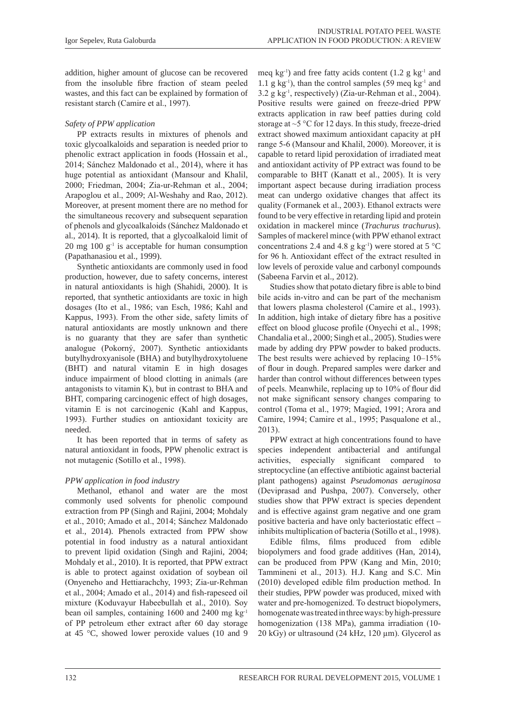addition, higher amount of glucose can be recovered from the insoluble fibre fraction of steam peeled wastes, and this fact can be explained by formation of resistant starch (Camire et al., 1997).

# *Safety of PPW application*

PP extracts results in mixtures of phenols and toxic glycoalkaloids and separation is needed prior to phenolic extract application in foods (Hossain et al., 2014; Sánchez Maldonado et al., 2014), where it has huge potential as antioxidant (Mansour and Khalil, 2000; Friedman, 2004; Zia-ur-Rehman et al., 2004; Arapoglou et al., 2009; Al-Weshahy and Rao, 2012). Moreover, at present moment there are no method for the simultaneous recovery and subsequent separation of phenols and glycoalkaloids (Sánchez Maldonado et al., 2014). It is reported, that a glycoalkaloid limit of 20 mg 100  $g^{-1}$  is acceptable for human consumption (Papathanasiou et al., 1999).

Synthetic antioxidants are commonly used in food production, however, due to safety concerns, interest in natural antioxidants is high (Shahidi, 2000). It is reported, that synthetic antioxidants are toxic in high dosages (Ito et al., 1986; van Esch, 1986; Kahl and Kappus, 1993). From the other side, safety limits of natural antioxidants are mostly unknown and there is no guaranty that they are safer than synthetic analogue (Pokorný, 2007). Synthetic antioxidants butylhydroxyanisole (BHA) and butylhydroxytoluene (BHT) and natural vitamin E in high dosages induce impairment of blood clotting in animals (are antagonists to vitamin K), but in contrast to BHA and BHT, comparing carcinogenic effect of high dosages, vitamin E is not carcinogenic (Kahl and Kappus, 1993). Further studies on antioxidant toxicity are needed.

It has been reported that in terms of safety as natural antioxidant in foods, PPW phenolic extract is not mutagenic (Sotillo et al., 1998).

# *PPW application in food industry*

Methanol, ethanol and water are the most commonly used solvents for phenolic compound extraction from PP (Singh and Rajini, 2004; Mohdaly et al., 2010; Amado et al., 2014; Sánchez Maldonado et al., 2014). Phenols extracted from PPW show potential in food industry as a natural antioxidant to prevent lipid oxidation (Singh and Rajini, 2004; Mohdaly et al., 2010). It is reported, that PPW extract is able to protect against oxidation of soybean oil (Onyeneho and Hettiarachchy, 1993; Zia-ur-Rehman et al., 2004; Amado et al., 2014) and fish-rapeseed oil mixture (Koduvayur Habeebullah et al., 2010). Soy bean oil samples, containing 1600 and 2400 mg kg-1 of PP petroleum ether extract after 60 day storage at 45 °C, showed lower peroxide values (10 and 9

meq kg<sup>-1</sup>) and free fatty acids content  $(1.2 \text{ g kg}^{-1}$  and 1.1 g kg<sup>-1</sup>), than the control samples (59 meq kg<sup>-1</sup> and 3.2 g kg-1, respectively) (Zia-ur-Rehman et al., 2004). Positive results were gained on freeze-dried PPW extracts application in raw beef patties during cold storage at  $\sim$  5 °C for 12 days. In this study, freeze-dried extract showed maximum antioxidant capacity at pH range 5-6 (Mansour and Khalil, 2000). Moreover, it is capable to retard lipid peroxidation of irradiated meat and antioxidant activity of PP extract was found to be comparable to BHT (Kanatt et al., 2005). It is very important aspect because during irradiation process meat can undergo oxidative changes that affect its quality (Formanek et al., 2003). Ethanol extracts were found to be very effective in retarding lipid and protein oxidation in mackerel mince (*Trachurus trachurus*). Samples of mackerel mince (with PPW ethanol extract concentrations 2.4 and 4.8 g kg<sup>-1</sup>) were stored at 5  $^{\circ}$ C for 96 h. Antioxidant effect of the extract resulted in low levels of peroxide value and carbonyl compounds (Sabeena Farvin et al., 2012).

Studies show that potato dietary fibre is able to bind bile acids in-vitro and can be part of the mechanism that lowers plasma cholesterol (Camire et al., 1993). In addition, high intake of dietary fibre has a positive effect on blood glucose profile (Onyechi et al., 1998; Chandalia et al., 2000; Singh et al., 2005). Studies were made by adding dry PPW powder to baked products. The best results were achieved by replacing 10–15% of flour in dough. Prepared samples were darker and harder than control without differences between types of peels. Meanwhile, replacing up to 10% of flour did not make significant sensory changes comparing to control (Toma et al., 1979; Magied, 1991; Arora and Camire, 1994; Camire et al., 1995; Pasqualone et al., 2013).

PPW extract at high concentrations found to have species independent antibacterial and antifungal activities, especially significant compared to streptocycline (an effective antibiotic against bacterial plant pathogens) against *Pseudomonas aeruginosa*  (Deviprasad and Pushpa, 2007). Conversely, other studies show that PPW extract is species dependent and is effective against gram negative and one gram positive bacteria and have only bacteriostatic effect – inhibits multiplication of bacteria (Sotillo et al., 1998).

Edible films, films produced from edible biopolymers and food grade additives (Han, 2014), can be produced from PPW (Kang and Min, 2010; Tammineni et al., 2013). H.J. Kang and S.C. Min (2010) developed edible film production method. In their studies, PPW powder was produced, mixed with water and pre-homogenized. To destruct biopolymers, homogenate was treated in three ways: by high-pressure homogenization (138 MPa), gamma irradiation (10- 20 kGy) or ultrasound  $(24 \text{ kHz}, 120 \text{ \mu m})$ . Glycerol as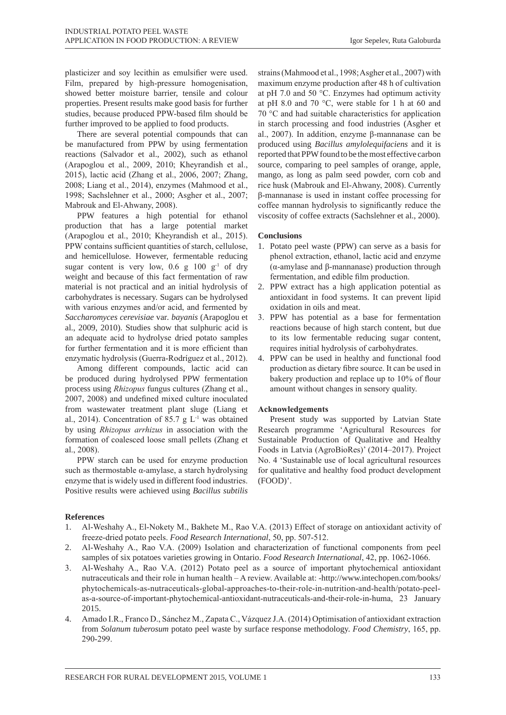plasticizer and soy lecithin as emulsifier were used. Film, prepared by high-pressure homogenisation, showed better moisture barrier, tensile and colour properties. Present results make good basis for further studies, because produced PPW-based film should be further improved to be applied to food products.

There are several potential compounds that can be manufactured from PPW by using fermentation reactions (Salvador et al., 2002), such as ethanol (Arapoglou et al., 2009, 2010; Kheyrandish et al., 2015), lactic acid (Zhang et al., 2006, 2007; Zhang, 2008; Liang et al., 2014), enzymes (Mahmood et al., 1998; Sachslehner et al., 2000; Asgher et al., 2007; Mabrouk and El-Ahwany, 2008).

PPW features a high potential for ethanol production that has a large potential market (Arapoglou et al., 2010; Kheyrandish et al., 2015). PPW contains sufficient quantities of starch, cellulose, and hemicellulose. However, fermentable reducing sugar content is very low,  $0.6$  g  $100$  g<sup>-1</sup> of dry weight and because of this fact fermentation of raw material is not practical and an initial hydrolysis of carbohydrates is necessary. Sugars can be hydrolysed with various enzymes and/or acid, and fermented by *Saccharomyces cerevisiae* var*. bayanis* (Arapoglou et al., 2009, 2010). Studies show that sulphuric acid is an adequate acid to hydrolyse dried potato samples for further fermentation and it is more efficient than enzymatic hydrolysis (Guerra-Rodríguez et al., 2012).

Among different compounds, lactic acid can be produced during hydrolysed PPW fermentation process using *Rhizopus* fungus cultures (Zhang et al., 2007, 2008) and undefined mixed culture inoculated from wastewater treatment plant sluge (Liang et al., 2014). Concentration of 85.7 g  $L^{-1}$  was obtained by using *Rhizopus arrhizus* in association with the formation of coalesced loose small pellets (Zhang et al., 2008).

PPW starch can be used for enzyme production such as thermostable  $\alpha$ -amylase, a starch hydrolysing enzyme that is widely used in different food industries. Positive results were achieved using *Bacillus subtilis*

**References**

- 1. Al-Weshahy A., El-Nokety M., Bakhete M., Rao V.A. (2013) Effect of storage on antioxidant activity of freeze-dried potato peels. *Food Research International*, 50, pp. 507-512.
- 2. Al-Weshahy A., Rao V.A. (2009) Isolation and characterization of functional components from peel samples of six potatoes varieties growing in Ontario. *Food Research International*, 42, pp. 1062-1066.
- 3. Al-Weshahy A., Rao V.A. (2012) Potato peel as a source of important phytochemical antioxidant nutraceuticals and their role in human health – A review. Available at: -http://www.intechopen.com/books/ phytochemicals-as-nutraceuticals-global-approaches-to-their-role-in-nutrition-and-health/potato-peelas-a-source-of-important-phytochemical-antioxidant-nutraceuticals-and-their-role-in-huma, 23 January 2015.
- 4. Amado I.R., Franco D., Sánchez M., Zapata C., Vázquez J.A. (2014) Optimisation of antioxidant extraction from *Solanum tuberosum* potato peel waste by surface response methodology. *Food Chemistry*, 165, pp. 290-299.

strains (Mahmood et al., 1998; Asgher et al., 2007) with maximum enzyme production after 48 h of cultivation at pH 7.0 and 50 °C. Enzymes had optimum activity at pH 8.0 and 70 °C, were stable for 1 h at 60 and 70 °C and had suitable characteristics for application in starch processing and food industries (Asgher et al., 2007). In addition, enzyme β-mannanase can be produced using *Bacillus amylolequifaciens* and it is reported that PPW found to be the most effective carbon source, comparing to peel samples of orange, apple, mango, as long as palm seed powder, corn cob and rice husk (Mabrouk and El-Ahwany, 2008). Currently β-mannanase is used in instant coffee processing for coffee mannan hydrolysis to significantly reduce the viscosity of coffee extracts (Sachslehner et al., 2000).

## **Conclusions**

- 1. Potato peel waste (PPW) can serve as a basis for phenol extraction, ethanol, lactic acid and enzyme (α-amylase and β-mannanase) production through fermentation, and edible film production.
- 2. PPW extract has a high application potential as antioxidant in food systems. It can prevent lipid oxidation in oils and meat.
- 3. PPW has potential as a base for fermentation reactions because of high starch content, but due to its low fermentable reducing sugar content, requires initial hydrolysis of carbohydrates.
- 4. PPW can be used in healthy and functional food production as dietary fibre source. It can be used in bakery production and replace up to 10% of flour amount without changes in sensory quality.

# **Acknowledgements**

Present study was supported by Latvian State Research programme 'Agricultural Resources for Sustainable Production of Qualitative and Healthy Foods in Latvia (AgroBioRes)' (2014–2017). Project No. 4 'Sustainable use of local agricultural resources for qualitative and healthy food product development (FOOD)'.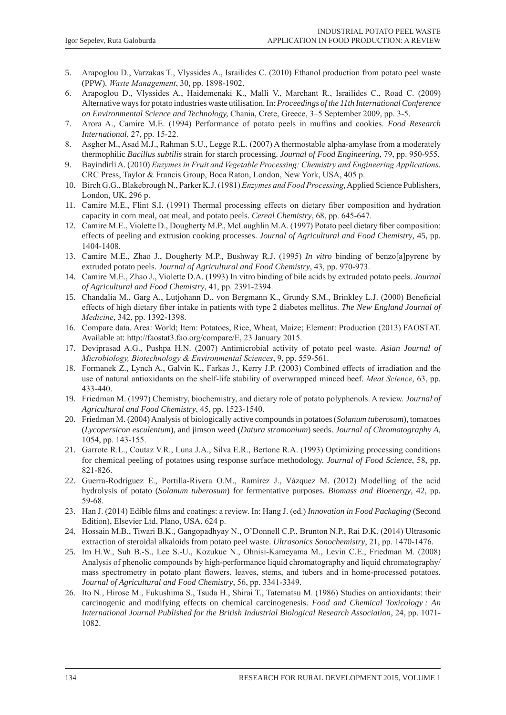- 5. Arapoglou D., Varzakas T., Vlyssides A., Israilides C. (2010) Ethanol production from potato peel waste (PPW). *Waste Management*, 30, pp. 1898-1902.
- 6. Arapoglou D., Vlyssides A., Haidemenaki K., Malli V., Marchant R., Israilides C., Road C. (2009) Alternative ways for potato industries waste utilisation. In: *Proceedings of the 11th International Conference on Environmental Science and Technology,* Chania, Crete, Greece, 3–5 September 2009, pp. 3-5.
- 7. Arora A., Camire M.E. (1994) Performance of potato peels in muffins and cookies. *Food Research International*, 27, pp. 15-22.
- 8. Asgher M., Asad M.J., Rahman S.U., Legge R.L. (2007) A thermostable alpha-amylase from a moderately thermophilic *Bacillus subtilis* strain for starch processing. *Journal of Food Engineering*, 79, pp. 950-955.
- 9. Bayindirli A. (2010) *enzymes in Fruit and Vegetable Processing: Chemistry and engineering Applications*. CRC Press, Taylor & Francis Group, Boca Raton, London, New York, USA, 405 p.
- 10. Birch G.G., Blakebrough N., Parker K.J. (1981) *enzymes and Food Processing*, Applied Science Publishers, London, UK, 296 p.
- 11. Camire M.E., Flint S.I. (1991) Thermal processing effects on dietary fiber composition and hydration capacity in corn meal, oat meal, and potato peels. *Cereal Chemistry*, 68, pp. 645-647.
- 12. Camire M.E., Violette D., Dougherty M.P., McLaughlin M.A. (1997) Potato peel dietary fiber composition: effects of peeling and extrusion cooking processes. *Journal of Agricultural and Food Chemistry*, 45, pp. 1404-1408.
- 13. Camire M.E., Zhao J., Dougherty M.P., Bushway R.J. (1995) *In vitro* binding of benzo[a]pyrene by extruded potato peels. *Journal of Agricultural and Food Chemistry*, 43, pp. 970-973.
- 14. Camire M.E., Zhao J., Violette D.A. (1993) In vitro binding of bile acids by extruded potato peels. *Journal of Agricultural and Food Chemistry*, 41, pp. 2391-2394.
- 15. Chandalia M., Garg A., Lutjohann D., von Bergmann K., Grundy S.M., Brinkley L.J. (2000) Beneficial effects of high dietary fiber intake in patients with type 2 diabetes mellitus. *The New England Journal of Medicine*, 342, pp. 1392-1398.
- 16. Compare data. Area: World; Item: Potatoes, Rice, Wheat, Maize; Element: Production (2013) FAOSTAT. Available at: http://faostat3.fao.org/compare/E, 23 January 2015.
- 17. Deviprasad A.G., Pushpa H.N. (2007) Antimicrobial activity of potato peel waste. *Asian Journal of Microbiology, biotechnology & environmental Sciences*, 9, pp. 559-561.
- 18. Formanek Z., Lynch A., Galvin K., Farkas J., Kerry J.P. (2003) Combined effects of irradiation and the use of natural antioxidants on the shelf-life stability of overwrapped minced beef. *Meat Science*, 63, pp. 433-440.
- 19. Friedman M. (1997) Chemistry, biochemistry, and dietary role of potato polyphenols. A review. *Journal of Agricultural and Food Chemistry*, 45, pp. 1523-1540.
- 20. Friedman M. (2004) Analysis of biologically active compounds in potatoes (*Solanum tuberosum*), tomatoes (*Lycopersicon esculentum*), and jimson weed (*Datura stramonium*) seeds. *Journal of Chromatography A*, 1054, pp. 143-155.
- 21. Garrote R.L., Coutaz V.R., Luna J.A., Silva E.R., Bertone R.A. (1993) Optimizing processing conditions for chemical peeling of potatoes using response surface methodology. *Journal of Food Science*, 58, pp. 821-826.
- 22. Guerra-Rodríguez E., Portilla-Rivera O.M., Ramírez J., Vázquez M. (2012) Modelling of the acid hydrolysis of potato (*Solanum tuberosum*) for fermentative purposes. *Biomass and Bioenergy*, 42, pp. 59-68.
- 23. Han J. (2014) Edible films and coatings: a review. In: Hang J. (ed.) *Innovation in Food Packaging* (Second Edition), Elsevier Ltd, Plano, USA, 624 p.
- 24. Hossain M.B., Tiwari B.K., Gangopadhyay N., O'Donnell C.P., Brunton N.P., Rai D.K. (2014) Ultrasonic extraction of steroidal alkaloids from potato peel waste. *Ultrasonics Sonochemistry*, 21, pp. 1470-1476.
- 25. Im H.W., Suh B.-S., Lee S.-U., Kozukue N., Ohnisi-Kameyama M., Levin C.E., Friedman M. (2008) Analysis of phenolic compounds by high-performance liquid chromatography and liquid chromatography/ mass spectrometry in potato plant flowers, leaves, stems, and tubers and in home-processed potatoes. *Journal of Agricultural and Food Chemistry*, 56, pp. 3341-3349.
- 26. Ito N., Hirose M., Fukushima S., Tsuda H., Shirai T., Tatematsu M. (1986) Studies on antioxidants: their carcinogenic and modifying effects on chemical carcinogenesis. *Food and Chemical Toxicology : An International Journal Published for the British Industrial Biological Research Association*, 24, pp. 1071- 1082.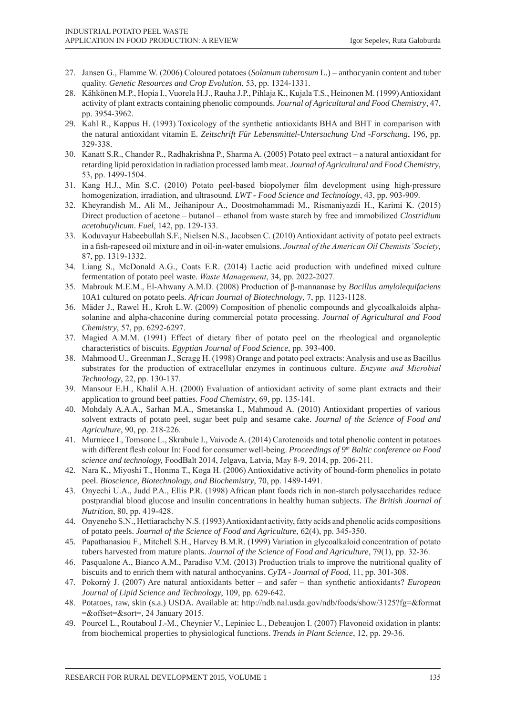- 27. Jansen G., Flamme W. (2006) Coloured potatoes (*Solanum tuberosum* L.) anthocyanin content and tuber quality. *Genetic Resources and Crop Evolution*, 53, pp. 1324-1331.
- 28. Kähkönen M.P., Hopia I., Vuorela H.J., Rauha J.P., Pihlaja K., Kujala T.S., Heinonen M. (1999) Antioxidant activity of plant extracts containing phenolic compounds. *Journal of Agricultural and Food Chemistry*, 47, pp. 3954-3962.
- 29. Kahl R., Kappus H. (1993) Toxicology of the synthetic antioxidants BHA and BHT in comparison with the natural antioxidant vitamin E. *Zeitschrift Für Lebensmittel-Untersuchung Und -Forschung*, 196, pp. 329-338.
- 30. Kanatt S.R., Chander R., Radhakrishna P., Sharma A. (2005) Potato peel extract a natural antioxidant for retarding lipid peroxidation in radiation processed lamb meat. *Journal of Agricultural and Food Chemistry*, 53, pp. 1499-1504.
- 31. Kang H.J., Min S.C. (2010) Potato peel-based biopolymer film development using high-pressure homogenization, irradiation, and ultrasound. *LWT - Food Science and Technology*, 43, pp. 903-909.
- 32. Kheyrandish M., Ali M., Jeihanipour A., Doostmohammadi M., Rismaniyazdi H., Karimi K. (2015) Direct production of acetone – butanol – ethanol from waste starch by free and immobilized *Clostridium acetobutylicum*. *Fuel*, 142, pp. 129-133.
- 33. Koduvayur Habeebullah S.F., Nielsen N.S., Jacobsen C. (2010) Antioxidant activity of potato peel extracts in a fish-rapeseed oil mixture and in oil-in-water emulsions. *Journal of the American oil Chemists' Society*, 87, pp. 1319-1332.
- 34. Liang S., McDonald A.G., Coats E.R. (2014) Lactic acid production with undefined mixed culture fermentation of potato peel waste. *Waste Management*, 34, pp. 2022-2027.
- 35. Mabrouk M.E.M., El-Ahwany A.M.D. (2008) Production of β-mannanase by *Bacillus amylolequifaciens* 10A1 cultured on potato peels. *African Journal of Biotechnology*, 7, pp. 1123-1128.
- 36. Mäder J., Rawel H., Kroh L.W. (2009) Composition of phenolic compounds and glycoalkaloids alphasolanine and alpha-chaconine during commercial potato processing. *Journal of Agricultural and Food Chemistry*, 57, pp. 6292-6297.
- 37. Magied A.M.M. (1991) Effect of dietary fiber of potato peel on the rheological and organoleptic characteristics of biscuits. *Egyptian Journal of Food Science*, pp. 393-400.
- 38. Mahmood U., Greenman J., Scragg H. (1998) Orange and potato peel extracts: Analysis and use as Bacillus substrates for the production of extracellular enzymes in continuous culture. *Enzyme and Microbial Technology*, 22, pp. 130-137.
- 39. Mansour E.H., Khalil A.H. (2000) Evaluation of antioxidant activity of some plant extracts and their application to ground beef patties. *Food Chemistry*, 69, pp. 135-141.
- 40. Mohdaly A.A.A., Sarhan M.A., Smetanska I., Mahmoud A. (2010) Antioxidant properties of various solvent extracts of potato peel, sugar beet pulp and sesame cake. *Journal of the Science of Food and Agriculture*, 90, pp. 218-226.
- 41. Murniece I., Tomsone L., Skrabule I., Vaivode A. (2014) Carotenoids and total phenolic content in potatoes with different flesh colour In: Food for consumer well-being. *Proceedings of 9<sup>th</sup> Baltic conference on Food science and technology,* FoodBalt 2014, Jelgava, Latvia, May 8-9, 2014, pp. 206-211.
- 42. Nara K., Miyoshi T., Honma T., Koga H. (2006) Antioxidative activity of bound-form phenolics in potato peel. *Bioscience, Biotechnology, and Biochemistry*, 70, pp. 1489-1491.
- 43. Onyechi U.A., Judd P.A., Ellis P.R. (1998) African plant foods rich in non-starch polysaccharides reduce postprandial blood glucose and insulin concentrations in healthy human subjects. *The British Journal of Nutrition*, 80, pp. 419-428.
- 44. Onyeneho S.N., Hettiarachchy N.S. (1993) Antioxidant activity, fatty acids and phenolic acids compositions of potato peels. *Journal of the Science of Food and Agriculture*, 62(4), pp. 345-350.
- 45. Papathanasiou F., Mitchell S.H., Harvey B.M.R. (1999) Variation in glycoalkaloid concentration of potato tubers harvested from mature plants. *Journal of the Science of Food and Agriculture*, 79(1), pp. 32-36.
- 46. Pasqualone A., Bianco A.M., Paradiso V.M. (2013) Production trials to improve the nutritional quality of biscuits and to enrich them with natural anthocyanins. *CyTA - Journal of Food*, 11, pp. 301-308.
- 47. Pokorný J. (2007) Are natural antioxidants better and safer than synthetic antioxidants? *European Journal of Lipid Science and Technology*, 109, pp. 629-642.
- 48. Potatoes, raw, skin (s.a.) USDA. Available at: http://ndb.nal.usda.gov/ndb/foods/show/3125?fg=&format =&offset=&sort=, 24 January 2015.
- 49. Pourcel L., Routaboul J.-M., Cheynier V., Lepiniec L., Debeaujon I. (2007) Flavonoid oxidation in plants: from biochemical properties to physiological functions. *Trends in Plant Science*, 12, pp. 29-36.